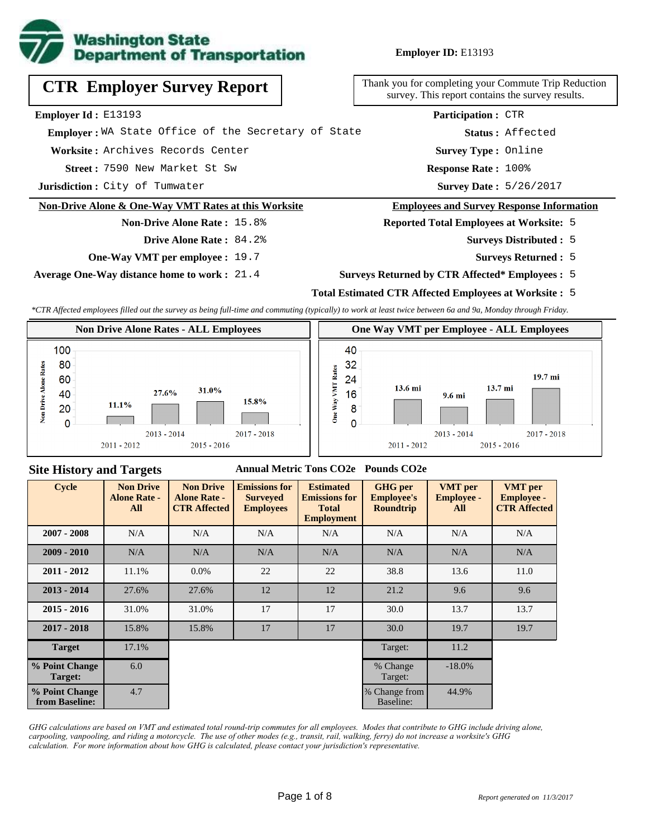

# **CTR Employer Survey Report**

**Employer Id :** E13193

 **Employer :** WA State Office of the Secretary of State

**Worksite :** Archives Records Center

7590 New Market St Sw **Response Rate : Street :**

**Jurisdiction :** City of Tumwater

#### **Non-Drive Alone & One-Way VMT Rates at this Worksite**

## **Non-Drive Alone Rate :** 15.8% **Drive Alone Rate :** 84.2%

**One-Way VMT per employee :** 19.7

**Average One-Way distance home to work :** 21.4

Thank you for completing your Commute Trip Reduction survey. This report contains the survey results.

> Response Rate: 100% **Survey Type :** Online **Status :** Affected **Participation :** CTR

Survey Date: 5/26/2017

#### **Employees and Survey Response Information**

**Reported Total Employees at Worksite:** 5

- 5 **Surveys Distributed :**
	- **Surveys Returned :** 5
- **Surveys Returned by CTR Affected\* Employees :** 5

## **Total Estimated CTR Affected Employees at Worksite :** 5

*\*CTR Affected employees filled out the survey as being full-time and commuting (typically) to work at least twice between 6a and 9a, Monday through Friday.*



#### **Site History and Targets**

#### **Annual Metric Tons CO2e Pounds CO2e**

| Cycle                            | <b>Non Drive</b><br><b>Alone Rate -</b><br>All | <b>Non Drive</b><br><b>Alone Rate -</b><br><b>CTR Affected</b> | <b>Emissions for</b><br><b>Surveyed</b><br><b>Employees</b> | <b>Estimated</b><br><b>Emissions for</b><br><b>Total</b><br><b>Employment</b> | <b>GHG</b> per<br><b>Employee's</b><br><b>Roundtrip</b> | <b>VMT</b> per<br><b>Employee -</b><br>All | <b>VMT</b> per<br><b>Employee -</b><br><b>CTR Affected</b> |
|----------------------------------|------------------------------------------------|----------------------------------------------------------------|-------------------------------------------------------------|-------------------------------------------------------------------------------|---------------------------------------------------------|--------------------------------------------|------------------------------------------------------------|
| $2007 - 2008$                    | N/A                                            | N/A                                                            | N/A                                                         | N/A                                                                           | N/A                                                     | N/A                                        | N/A                                                        |
| $2009 - 2010$                    | N/A                                            | N/A                                                            | N/A                                                         | N/A                                                                           | N/A                                                     | N/A                                        | N/A                                                        |
| $2011 - 2012$                    | 11.1%                                          | $0.0\%$                                                        | 22                                                          | 22                                                                            | 38.8                                                    | 13.6                                       | 11.0                                                       |
| $2013 - 2014$                    | 27.6%                                          | 27.6%                                                          | 12                                                          | 12                                                                            | 21.2                                                    | 9.6                                        | 9.6                                                        |
| $2015 - 2016$                    | 31.0%                                          | 31.0%                                                          | 17                                                          | 17                                                                            | 30.0                                                    | 13.7                                       | 13.7                                                       |
| $2017 - 2018$                    | 15.8%                                          | 15.8%                                                          | 17                                                          | 17                                                                            | 30.0                                                    | 19.7                                       | 19.7                                                       |
| <b>Target</b>                    | 17.1%                                          |                                                                |                                                             |                                                                               | Target:                                                 | 11.2                                       |                                                            |
| % Point Change<br>Target:        | 6.0                                            |                                                                |                                                             |                                                                               | % Change<br>Target:                                     | $-18.0\%$                                  |                                                            |
| % Point Change<br>from Baseline: | 4.7                                            |                                                                |                                                             |                                                                               | % Change from<br>Baseline:                              | 44.9%                                      |                                                            |

*GHG calculations are based on VMT and estimated total round-trip commutes for all employees. Modes that contribute to GHG include driving alone, carpooling, vanpooling, and riding a motorcycle. The use of other modes (e.g., transit, rail, walking, ferry) do not increase a worksite's GHG calculation. For more information about how GHG is calculated, please contact your jurisdiction's representative.*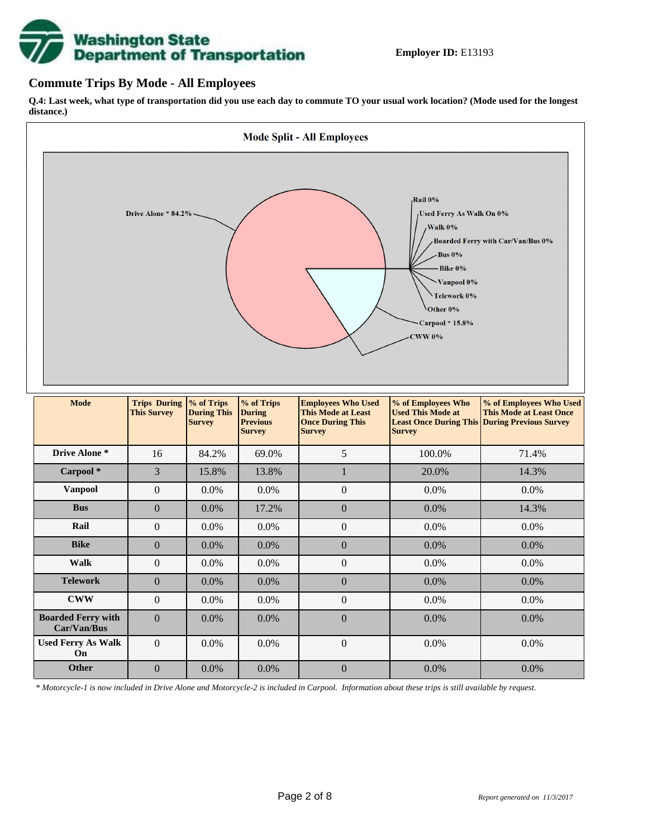# **Washington State<br>Department of Transportation**

## **Commute Trips By Mode - All Employees**

**Q.4: Last week, what type of transportation did you use each day to commute TO your usual work location? (Mode used for the longest distance.)**



*\* Motorcycle-1 is now included in Drive Alone and Motorcycle-2 is included in Carpool. Information about these trips is still available by request.*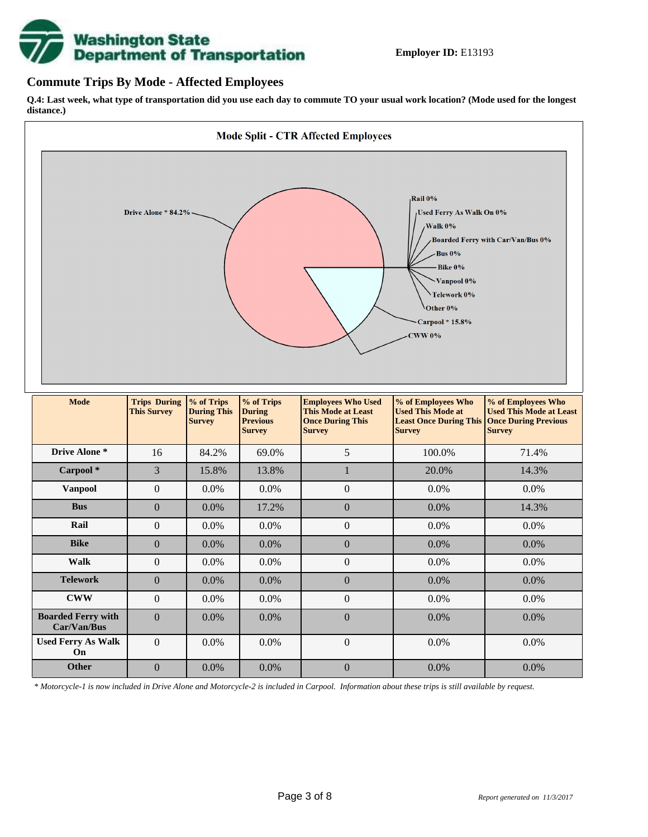

## **Commute Trips By Mode - Affected Employees**

**Q.4: Last week, what type of transportation did you use each day to commute TO your usual work location? (Mode used for the longest distance.)**



*\* Motorcycle-1 is now included in Drive Alone and Motorcycle-2 is included in Carpool. Information about these trips is still available by request.*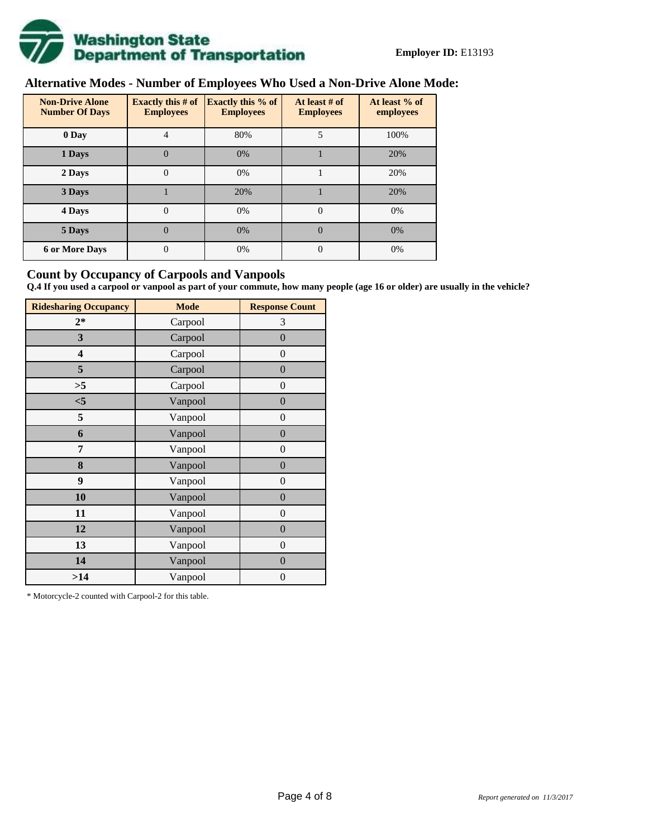

# **Alternative Modes - Number of Employees Who Used a Non-Drive Alone Mode:**

| <b>Non-Drive Alone</b><br><b>Number Of Days</b> | <b>Exactly this # of</b><br><b>Employees</b> | <b>Exactly this % of</b><br><b>Employees</b> | At least # of<br><b>Employees</b> | At least % of<br>employees |
|-------------------------------------------------|----------------------------------------------|----------------------------------------------|-----------------------------------|----------------------------|
| 0 Day                                           | 4                                            | 80%                                          | 5                                 | 100%                       |
| 1 Days                                          | $\overline{0}$                               | 0%                                           |                                   | 20%                        |
| 2 Days                                          | $\overline{0}$                               | 0%                                           |                                   | 20%                        |
| 3 Days                                          |                                              | 20%                                          |                                   | 20%                        |
| 4 Days                                          | $\theta$                                     | 0%                                           | $\Omega$                          | 0%                         |
| 5 Days                                          | 0                                            | 0%                                           | $\theta$                          | 0%                         |
| <b>6 or More Days</b>                           | $\theta$                                     | 0%                                           | $\Omega$                          | 0%                         |

## **Count by Occupancy of Carpools and Vanpools**

**Q.4 If you used a carpool or vanpool as part of your commute, how many people (age 16 or older) are usually in the vehicle?**

| <b>Ridesharing Occupancy</b> | <b>Mode</b> | <b>Response Count</b> |  |  |  |
|------------------------------|-------------|-----------------------|--|--|--|
| $2*$                         | Carpool     | 3                     |  |  |  |
| 3                            | Carpool     | $\overline{0}$        |  |  |  |
| 4                            | Carpool     | $\boldsymbol{0}$      |  |  |  |
| 5                            | Carpool     | $\boldsymbol{0}$      |  |  |  |
| >5                           | Carpool     | $\boldsymbol{0}$      |  |  |  |
| $<$ 5                        | Vanpool     | $\overline{0}$        |  |  |  |
| 5                            | Vanpool     | $\overline{0}$        |  |  |  |
| 6                            | Vanpool     | $\boldsymbol{0}$      |  |  |  |
| 7                            | Vanpool     | $\boldsymbol{0}$      |  |  |  |
| 8                            | Vanpool     | $\overline{0}$        |  |  |  |
| 9                            | Vanpool     | $\overline{0}$        |  |  |  |
| 10                           | Vanpool     | $\overline{0}$        |  |  |  |
| 11                           | Vanpool     | $\boldsymbol{0}$      |  |  |  |
| 12                           | Vanpool     | $\boldsymbol{0}$      |  |  |  |
| 13                           | Vanpool     | $\boldsymbol{0}$      |  |  |  |
| 14                           | Vanpool     | $\overline{0}$        |  |  |  |
| >14                          | Vanpool     | $\boldsymbol{0}$      |  |  |  |

\* Motorcycle-2 counted with Carpool-2 for this table.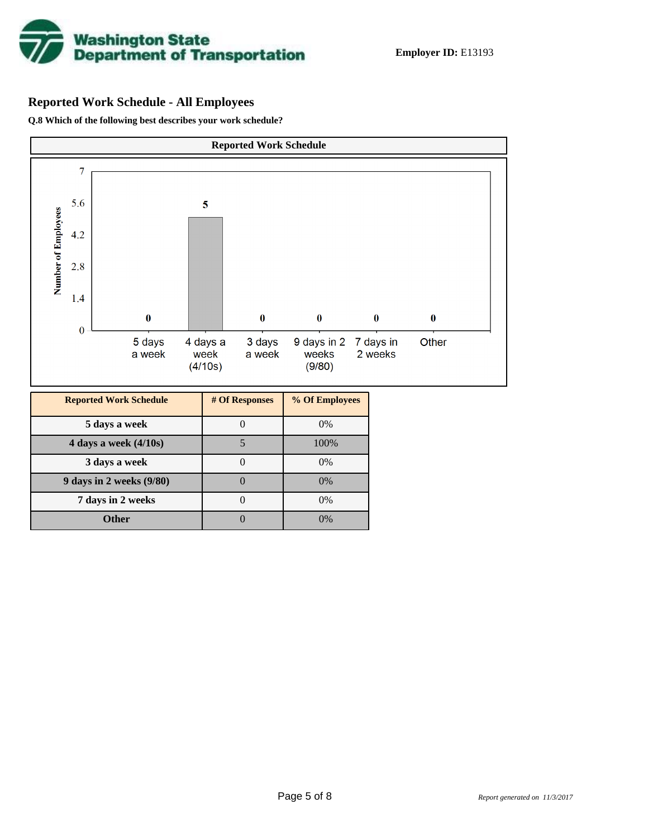

# **Reported Work Schedule - All Employees**

**Q.8 Which of the following best describes your work schedule?**

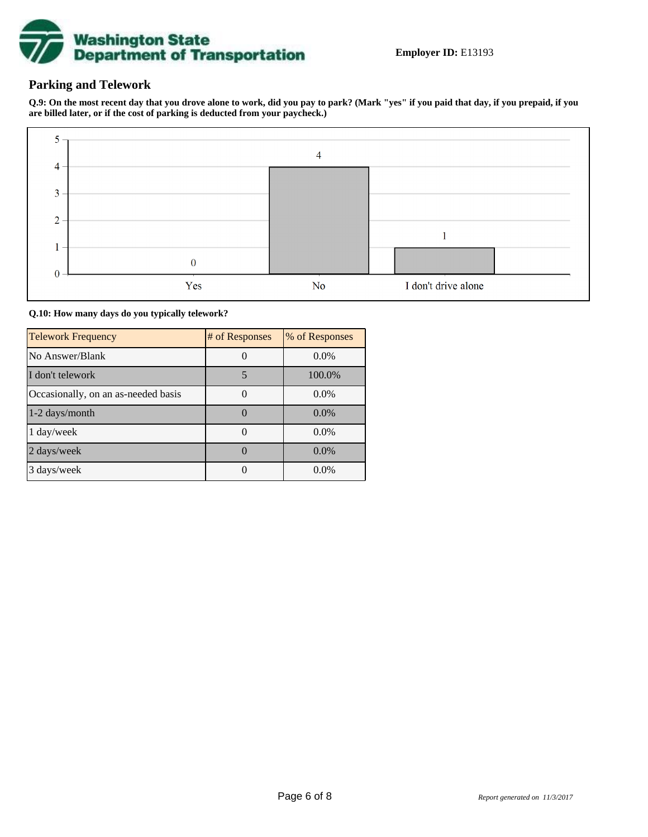

# **Parking and Telework**

**Q.9: On the most recent day that you drove alone to work, did you pay to park? (Mark "yes" if you paid that day, if you prepaid, if you are billed later, or if the cost of parking is deducted from your paycheck.)**



#### **Q.10: How many days do you typically telework?**

| <b>Telework Frequency</b>           | # of Responses | % of Responses |
|-------------------------------------|----------------|----------------|
| No Answer/Blank                     |                | $0.0\%$        |
| I don't telework                    | 5              | 100.0%         |
| Occasionally, on an as-needed basis |                | $0.0\%$        |
| $1-2$ days/month                    |                | $0.0\%$        |
| 1 day/week                          |                | $0.0\%$        |
| 2 days/week                         |                | 0.0%           |
| 3 days/week                         |                | $0.0\%$        |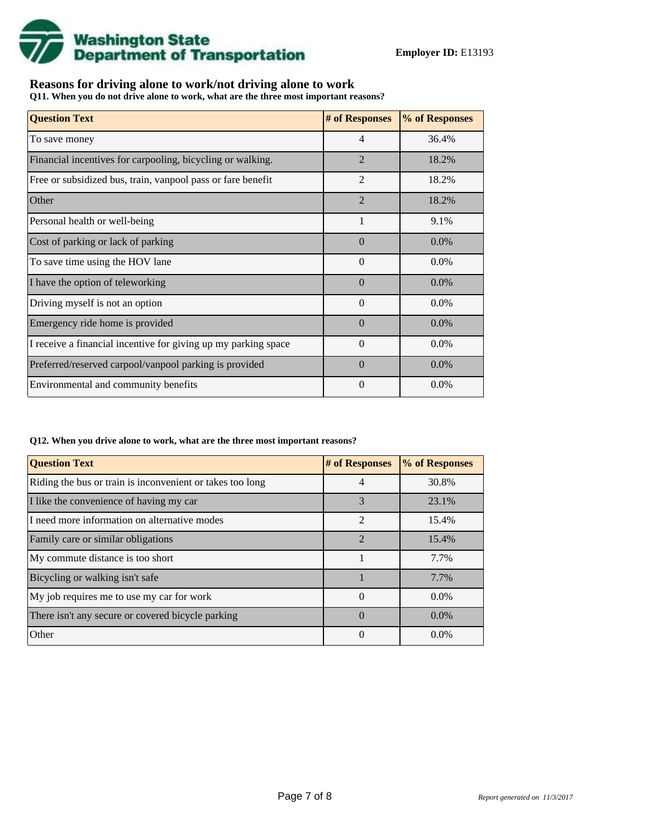

## **Reasons for driving alone to work/not driving alone to work**

**Q11. When you do not drive alone to work, what are the three most important reasons?**

| <b>Question Text</b>                                           | # of Responses | % of Responses |
|----------------------------------------------------------------|----------------|----------------|
| To save money                                                  | $\overline{4}$ | 36.4%          |
| Financial incentives for carpooling, bicycling or walking.     | $\overline{2}$ | 18.2%          |
| Free or subsidized bus, train, vanpool pass or fare benefit    | $\overline{2}$ | 18.2%          |
| Other                                                          | $\overline{2}$ | 18.2%          |
| Personal health or well-being                                  | $\mathbf{1}$   | 9.1%           |
| Cost of parking or lack of parking                             | $\Omega$       | $0.0\%$        |
| To save time using the HOV lane                                | $\Omega$       | $0.0\%$        |
| I have the option of teleworking                               | $\Omega$       | $0.0\%$        |
| Driving myself is not an option                                | $\Omega$       | $0.0\%$        |
| Emergency ride home is provided                                | $\Omega$       | $0.0\%$        |
| I receive a financial incentive for giving up my parking space | $\Omega$       | $0.0\%$        |
| Preferred/reserved carpool/vanpool parking is provided         | $\Omega$       | $0.0\%$        |
| Environmental and community benefits                           | $\theta$       | $0.0\%$        |

#### **Q12. When you drive alone to work, what are the three most important reasons?**

| <b>Question Text</b>                                      | # of Responses | % of Responses |
|-----------------------------------------------------------|----------------|----------------|
| Riding the bus or train is inconvenient or takes too long | 4              | 30.8%          |
| I like the convenience of having my car                   | 3              | 23.1%          |
| I need more information on alternative modes              | $\overline{2}$ | 15.4%          |
| Family care or similar obligations                        | $\mathfrak{D}$ | 15.4%          |
| My commute distance is too short                          |                | 7.7%           |
| Bicycling or walking isn't safe                           |                | 7.7%           |
| My job requires me to use my car for work                 | $\Omega$       | $0.0\%$        |
| There isn't any secure or covered bicycle parking         | $\Omega$       | $0.0\%$        |
| Other                                                     | $\Omega$       | $0.0\%$        |